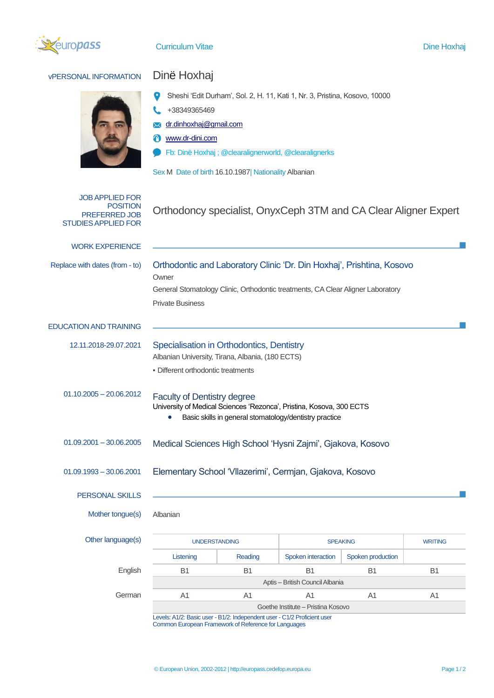

## **VPERSONAL INFORMATION** Dinë Hoxhaj

- $\bullet$ Sheshi 'Edit Durham', Sol. 2, H. 11, Kati 1, Nr. 3, Pristina, Kosovo, 10000
- $\mathbf{C}$ +38349365469
- [dr.dinhoxhaj@gmail.com](mailto:dr.dinhoxhaj@gmail.com)
- [www.dr-dini.com](http://www.dr-dini.com/)
- Fb: Dinë Hoxhaj ; @clearalignerworld, @clearalignerks  $\bullet$

|                                                                                          | Sex M Date of birth 16.10.1987 Nationality Albanian                                                                                                                                          |                |                    |                   |                |
|------------------------------------------------------------------------------------------|----------------------------------------------------------------------------------------------------------------------------------------------------------------------------------------------|----------------|--------------------|-------------------|----------------|
| <b>JOB APPLIED FOR</b><br><b>POSITION</b><br>PREFERRED JOB<br><b>STUDIES APPLIED FOR</b> | Orthodoncy specialist, OnyxCeph 3TM and CA Clear Aligner Expert                                                                                                                              |                |                    |                   |                |
| <b>WORK EXPERIENCE</b>                                                                   |                                                                                                                                                                                              |                |                    |                   |                |
| Replace with dates (from - to)                                                           | Orthodontic and Laboratory Clinic 'Dr. Din Hoxhaj', Prishtina, Kosovo<br>Owner<br>General Stomatology Clinic, Orthodontic treatments, CA Clear Aligner Laboratory<br><b>Private Business</b> |                |                    |                   |                |
| <b>EDUCATION AND TRAINING</b>                                                            |                                                                                                                                                                                              |                |                    |                   |                |
| 12.11.2018-29.07.2021                                                                    | Specialisation in Orthodontics, Dentistry<br>Albanian University, Tirana, Albania, (180 ECTS)<br>· Different orthodontic treatments                                                          |                |                    |                   |                |
| $01.10.2005 - 20.06.2012$                                                                | <b>Faculty of Dentistry degree</b><br>University of Medical Sciences 'Rezonca', Pristina, Kosova, 300 ECTS<br>Basic skills in general stomatology/dentistry practice                         |                |                    |                   |                |
| $01.09.2001 - 30.06.2005$                                                                | Medical Sciences High School 'Hysni Zajmi', Gjakova, Kosovo                                                                                                                                  |                |                    |                   |                |
| $01.09.1993 - 30.06.2001$                                                                | Elementary School 'Vllazerimi', Cermjan, Gjakova, Kosovo                                                                                                                                     |                |                    |                   |                |
| PERSONAL SKILLS                                                                          |                                                                                                                                                                                              |                |                    |                   |                |
| Mother tongue(s)                                                                         | Albanian                                                                                                                                                                                     |                |                    |                   |                |
| Other language(s)                                                                        | <b>UNDERSTANDING</b>                                                                                                                                                                         |                | <b>SPEAKING</b>    |                   | <b>WRITING</b> |
|                                                                                          | Listening                                                                                                                                                                                    | Reading        | Spoken interaction | Spoken production |                |
| English                                                                                  | B <sub>1</sub>                                                                                                                                                                               | <b>B1</b>      | <b>B1</b>          | <b>B1</b>         | <b>B1</b>      |
|                                                                                          | Aptis - British Council Albania                                                                                                                                                              |                |                    |                   |                |
| German                                                                                   | A1                                                                                                                                                                                           | A <sub>1</sub> | A <sub>1</sub>     | A <sub>1</sub>    | A <sub>1</sub> |
|                                                                                          | Goethe Institute - Pristina Kosovo                                                                                                                                                           |                |                    |                   |                |

Levels: A1/2: Basic user - B1/2: Independent user - C1/2 Proficient user Common European Framework of Reference for Languages